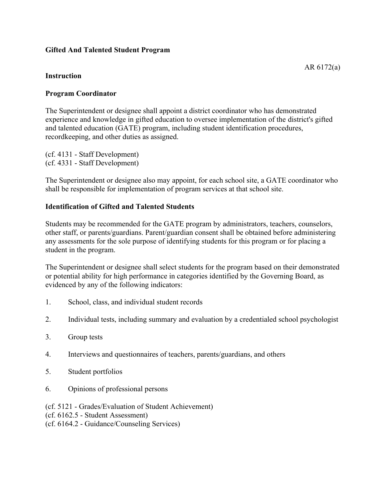## **Gifted And Talented Student Program**

## **Instruction**

## **Program Coordinator**

The Superintendent or designee shall appoint a district coordinator who has demonstrated experience and knowledge in gifted education to oversee implementation of the district's gifted and talented education (GATE) program, including student identification procedures, recordkeeping, and other duties as assigned.

(cf. 4131 - Staff Development) (cf. 4331 - Staff Development)

The Superintendent or designee also may appoint, for each school site, a GATE coordinator who shall be responsible for implementation of program services at that school site.

## **Identification of Gifted and Talented Students**

Students may be recommended for the GATE program by administrators, teachers, counselors, other staff, or parents/guardians. Parent/guardian consent shall be obtained before administering any assessments for the sole purpose of identifying students for this program or for placing a student in the program.

The Superintendent or designee shall select students for the program based on their demonstrated or potential ability for high performance in categories identified by the Governing Board, as evidenced by any of the following indicators:

- 1. School, class, and individual student records
- 2. Individual tests, including summary and evaluation by a credentialed school psychologist
- 3. Group tests
- 4. Interviews and questionnaires of teachers, parents/guardians, and others
- 5. Student portfolios
- 6. Opinions of professional persons
- (cf. 5121 Grades/Evaluation of Student Achievement)
- (cf. 6162.5 Student Assessment)
- (cf. 6164.2 Guidance/Counseling Services)